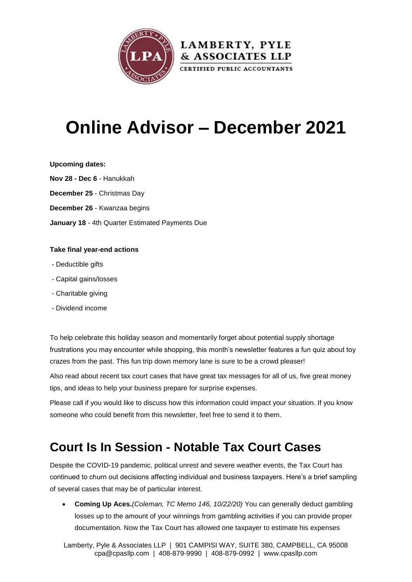

# **Online Advisor – December 2021**

### **Upcoming dates:**

**Nov 28 - Dec 6** - Hanukkah **December 25** - Christmas Day **December 26** - Kwanzaa begins

**January 18** - 4th Quarter Estimated Payments Due

### **Take final year-end actions**

- Deductible gifts
- Capital gains/losses
- Charitable giving
- Dividend income

To help celebrate this holiday season and momentarily forget about potential supply shortage frustrations you may encounter while shopping, this month's newsletter features a fun quiz about toy crazes from the past. This fun trip down memory lane is sure to be a crowd pleaser!

Also read about recent tax court cases that have great tax messages for all of us, five great money tips, and ideas to help your business prepare for surprise expenses.

Please call if you would like to discuss how this information could impact your situation. If you know someone who could benefit from this newsletter, feel free to send it to them.

## **Court Is In Session - Notable Tax Court Cases**

Despite the COVID-19 pandemic, political unrest and severe weather events, the Tax Court has continued to churn out decisions affecting individual and business taxpayers. Here's a brief sampling of several cases that may be of particular interest.

 **Coming Up Aces.***(Coleman, TC Memo 146, 10/22/20)* You can generally deduct gambling losses up to the amount of your winnings from gambling activities if you can provide proper documentation. Now the Tax Court has allowed one taxpayer to estimate his expenses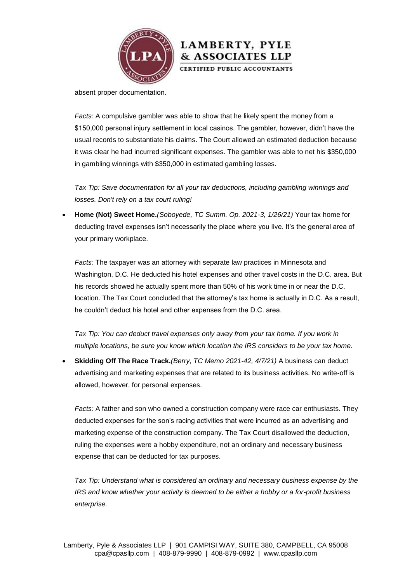

absent proper documentation.

*Facts:* A compulsive gambler was able to show that he likely spent the money from a \$150,000 personal injury settlement in local casinos. The gambler, however, didn't have the usual records to substantiate his claims. The Court allowed an estimated deduction because it was clear he had incurred significant expenses. The gambler was able to net his \$350,000 in gambling winnings with \$350,000 in estimated gambling losses.

**LAMBERTY, PYLE** & ASSOCIATES LLP CERTIFIED PUBLIC ACCOUNTANTS

*Tax Tip: Save documentation for all your tax deductions, including gambling winnings and losses. Don't rely on a tax court ruling!*

 **Home (Not) Sweet Home.***(Soboyede, TC Summ. Op. 2021-3, 1/26/21)* Your tax home for deducting travel expenses isn't necessarily the place where you live. It's the general area of your primary workplace.

*Facts:* The taxpayer was an attorney with separate law practices in Minnesota and Washington, D.C. He deducted his hotel expenses and other travel costs in the D.C. area. But his records showed he actually spent more than 50% of his work time in or near the D.C. location. The Tax Court concluded that the attorney's tax home is actually in D.C. As a result, he couldn't deduct his hotel and other expenses from the D.C. area.

Tax Tip: You can deduct travel expenses only away from your tax home. If you work in *multiple locations, be sure you know which location the IRS considers to be your tax home.*

 **Skidding Off The Race Track.***(Berry, TC Memo 2021-42, 4/7/21)* A business can deduct advertising and marketing expenses that are related to its business activities. No write-off is allowed, however, for personal expenses.

*Facts:* A father and son who owned a construction company were race car enthusiasts. They deducted expenses for the son's racing activities that were incurred as an advertising and marketing expense of the construction company. The Tax Court disallowed the deduction, ruling the expenses were a hobby expenditure, not an ordinary and necessary business expense that can be deducted for tax purposes.

*Tax Tip: Understand what is considered an ordinary and necessary business expense by the IRS and know whether your activity is deemed to be either a hobby or a for-profit business enterprise.*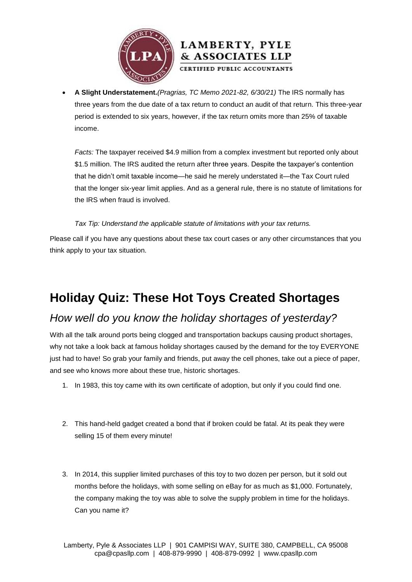



 **A Slight Understatement.***(Pragrias, TC Memo 2021-82, 6/30/21)* The IRS normally has three years from the due date of a tax return to conduct an audit of that return. This three-year period is extended to six years, however, if the tax return omits more than 25% of taxable income.

*Facts:* The taxpayer received \$4.9 million from a complex investment but reported only about \$1.5 million. The IRS audited the return after three years. Despite the taxpayer's contention that he didn't omit taxable income—he said he merely understated it—the Tax Court ruled that the longer six-year limit applies. And as a general rule, there is no statute of limitations for the IRS when fraud is involved.

### *Tax Tip: Understand the applicable statute of limitations with your tax returns.*

Please call if you have any questions about these tax court cases or any other circumstances that you think apply to your tax situation.

## **Holiday Quiz: These Hot Toys Created Shortages**

### *How well do you know the holiday shortages of yesterday?*

With all the talk around ports being clogged and transportation backups causing product shortages, why not take a look back at famous holiday shortages caused by the demand for the toy EVERYONE just had to have! So grab your family and friends, put away the cell phones, take out a piece of paper, and see who knows more about these true, historic shortages.

- 1. In 1983, this toy came with its own certificate of adoption, but only if you could find one.
- 2. This hand-held gadget created a bond that if broken could be fatal. At its peak they were selling 15 of them every minute!
- 3. In 2014, this supplier limited purchases of this toy to two dozen per person, but it sold out months before the holidays, with some selling on eBay for as much as \$1,000. Fortunately, the company making the toy was able to solve the supply problem in time for the holidays. Can you name it?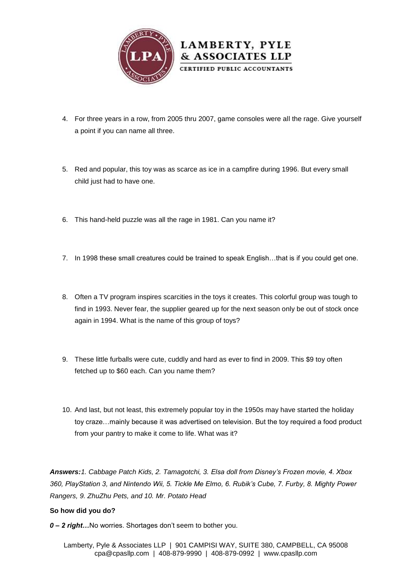

- 4. For three years in a row, from 2005 thru 2007, game consoles were all the rage. Give yourself a point if you can name all three.
- 5. Red and popular, this toy was as scarce as ice in a campfire during 1996. But every small child just had to have one.
- 6. This hand-held puzzle was all the rage in 1981. Can you name it?
- 7. In 1998 these small creatures could be trained to speak English…that is if you could get one.
- 8. Often a TV program inspires scarcities in the toys it creates. This colorful group was tough to find in 1993. Never fear, the supplier geared up for the next season only be out of stock once again in 1994. What is the name of this group of toys?
- 9. These little furballs were cute, cuddly and hard as ever to find in 2009. This \$9 toy often fetched up to \$60 each. Can you name them?
- 10. And last, but not least, this extremely popular toy in the 1950s may have started the holiday toy craze…mainly because it was advertised on television. But the toy required a food product from your pantry to make it come to life. What was it?

*Answers:1. Cabbage Patch Kids, 2. Tamagotchi, 3. Elsa doll from Disney's Frozen movie, 4. Xbox 360, PlayStation 3, and Nintendo Wii, 5. Tickle Me Elmo, 6. Rubik's Cube, 7. Furby, 8. Mighty Power Rangers, 9. ZhuZhu Pets, and 10. Mr. Potato Head*

#### **So how did you do?**

*0 – 2 right…*No worries. Shortages don't seem to bother you.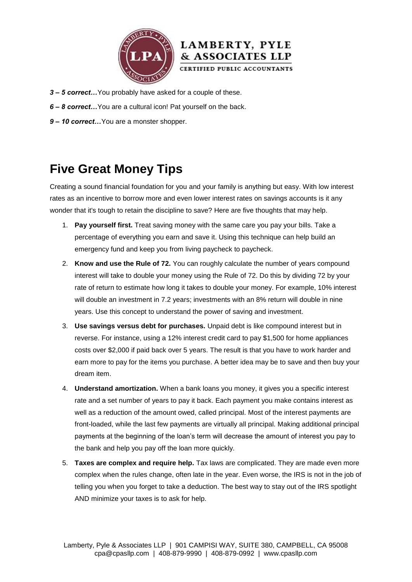



- *3 – 5 correct…*You probably have asked for a couple of these.
- *6 – 8 correct…*You are a cultural icon! Pat yourself on the back.
- *9 – 10 correct…*You are a monster shopper.

## **Five Great Money Tips**

Creating a sound financial foundation for you and your family is anything but easy. With low interest rates as an incentive to borrow more and even lower interest rates on savings accounts is it any wonder that it's tough to retain the discipline to save? Here are five thoughts that may help.

- 1. **Pay yourself first.** Treat saving money with the same care you pay your bills. Take a percentage of everything you earn and save it. Using this technique can help build an emergency fund and keep you from living paycheck to paycheck.
- 2. **Know and use the Rule of 72.** You can roughly calculate the number of years compound interest will take to double your money using the Rule of 72. Do this by dividing 72 by your rate of return to estimate how long it takes to double your money. For example, 10% interest will double an investment in 7.2 years; investments with an 8% return will double in nine years. Use this concept to understand the power of saving and investment.
- 3. **Use savings versus debt for purchases.** Unpaid debt is like compound interest but in reverse. For instance, using a 12% interest credit card to pay \$1,500 for home appliances costs over \$2,000 if paid back over 5 years. The result is that you have to work harder and earn more to pay for the items you purchase. A better idea may be to save and then buy your dream item.
- 4. **Understand amortization.** When a bank loans you money, it gives you a specific interest rate and a set number of years to pay it back. Each payment you make contains interest as well as a reduction of the amount owed, called principal. Most of the interest payments are front-loaded, while the last few payments are virtually all principal. Making additional principal payments at the beginning of the loan's term will decrease the amount of interest you pay to the bank and help you pay off the loan more quickly.
- 5. **Taxes are complex and require help.** Tax laws are complicated. They are made even more complex when the rules change, often late in the year. Even worse, the IRS is not in the job of telling you when you forget to take a deduction. The best way to stay out of the IRS spotlight AND minimize your taxes is to ask for help.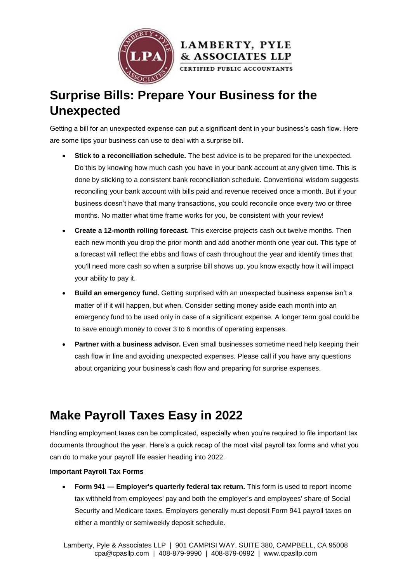



## **Surprise Bills: Prepare Your Business for the Unexpected**

Getting a bill for an unexpected expense can put a significant dent in your business's cash flow. Here are some tips your business can use to deal with a surprise bill.

- **Stick to a reconciliation schedule.** The best advice is to be prepared for the unexpected. Do this by knowing how much cash you have in your bank account at any given time. This is done by sticking to a consistent bank reconciliation schedule. Conventional wisdom suggests reconciling your bank account with bills paid and revenue received once a month. But if your business doesn't have that many transactions, you could reconcile once every two or three months. No matter what time frame works for you, be consistent with your review!
- **Create a 12-month rolling forecast.** This exercise projects cash out twelve months. Then each new month you drop the prior month and add another month one year out. This type of a forecast will reflect the ebbs and flows of cash throughout the year and identify times that you'll need more cash so when a surprise bill shows up, you know exactly how it will impact your ability to pay it.
- **Build an emergency fund.** Getting surprised with an unexpected business expense isn't a matter of if it will happen, but when. Consider setting money aside each month into an emergency fund to be used only in case of a significant expense. A longer term goal could be to save enough money to cover 3 to 6 months of operating expenses.
- **Partner with a business advisor.** Even small businesses sometime need help keeping their cash flow in line and avoiding unexpected expenses. Please call if you have any questions about organizing your business's cash flow and preparing for surprise expenses.

# **Make Payroll Taxes Easy in 2022**

Handling employment taxes can be complicated, especially when you're required to file important tax documents throughout the year. Here's a quick recap of the most vital payroll tax forms and what you can do to make your payroll life easier heading into 2022.

### **Important Payroll Tax Forms**

 **Form 941 — Employer's quarterly federal tax return.** This form is used to report income tax withheld from employees' pay and both the employer's and employees' share of Social Security and Medicare taxes. Employers generally must deposit Form 941 payroll taxes on either a monthly or semiweekly deposit schedule.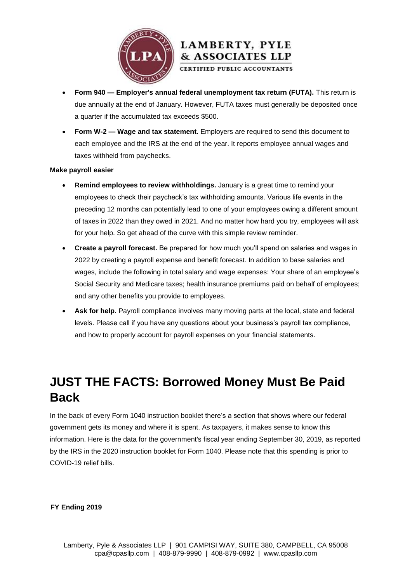

### **Form 940 — Employer's annual federal unemployment tax return (FUTA).** This return is due annually at the end of January. However, FUTA taxes must generally be deposited once a quarter if the accumulated tax exceeds \$500.

LAMBERTY, PYLE & ASSOCIATES LLP CERTIFIED PUBLIC ACCOUNTANTS

 **Form W-2 — Wage and tax statement.** Employers are required to send this document to each employee and the IRS at the end of the year. It reports employee annual wages and taxes withheld from paychecks.

#### **Make payroll easier**

- **Remind employees to review withholdings.** January is a great time to remind your employees to check their paycheck's tax withholding amounts. Various life events in the preceding 12 months can potentially lead to one of your employees owing a different amount of taxes in 2022 than they owed in 2021. And no matter how hard you try, employees will ask for your help. So get ahead of the curve with this simple review reminder.
- **Create a payroll forecast.** Be prepared for how much you'll spend on salaries and wages in 2022 by creating a payroll expense and benefit forecast. In addition to base salaries and wages, include the following in total salary and wage expenses: Your share of an employee's Social Security and Medicare taxes; health insurance premiums paid on behalf of employees; and any other benefits you provide to employees.
- **Ask for help.** Payroll compliance involves many moving parts at the local, state and federal levels. Please call if you have any questions about your business's payroll tax compliance, and how to properly account for payroll expenses on your financial statements.

## **JUST THE FACTS: Borrowed Money Must Be Paid Back**

In the back of every Form 1040 instruction booklet there's a section that shows where our federal government gets its money and where it is spent. As taxpayers, it makes sense to know this information. Here is the data for the government's fiscal year ending September 30, 2019, as reported by the IRS in the 2020 instruction booklet for Form 1040. Please note that this spending is prior to COVID-19 relief bills.

**FY Ending 2019**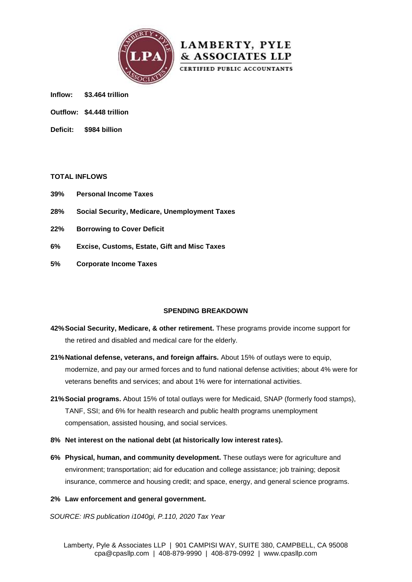



**Inflow: \$3.464 trillion**

- **Outflow: \$4.448 trillion**
- **Deficit: \$984 billion**

#### **TOTAL INFLOWS**

- **39% Personal Income Taxes**
- **28% Social Security, Medicare, Unemployment Taxes**
- **22% Borrowing to Cover Deficit**
- **6% Excise, Customs, Estate, Gift and Misc Taxes**
- **5% Corporate Income Taxes**

#### **SPENDING BREAKDOWN**

- **42%Social Security, Medicare, & other retirement.** These programs provide income support for the retired and disabled and medical care for the elderly.
- **21%National defense, veterans, and foreign affairs.** About 15% of outlays were to equip, modernize, and pay our armed forces and to fund national defense activities; about 4% were for veterans benefits and services; and about 1% were for international activities.
- **21%Social programs.** About 15% of total outlays were for Medicaid, SNAP (formerly food stamps), TANF, SSI; and 6% for health research and public health programs unemployment compensation, assisted housing, and social services.
- **8% Net interest on the national debt (at historically low interest rates).**
- **6% Physical, human, and community development.** These outlays were for agriculture and environment; transportation; aid for education and college assistance; job training; deposit insurance, commerce and housing credit; and space, energy, and general science programs.

#### **2% Law enforcement and general government.**

*SOURCE: IRS publication i1040gi, P.110, 2020 Tax Year*